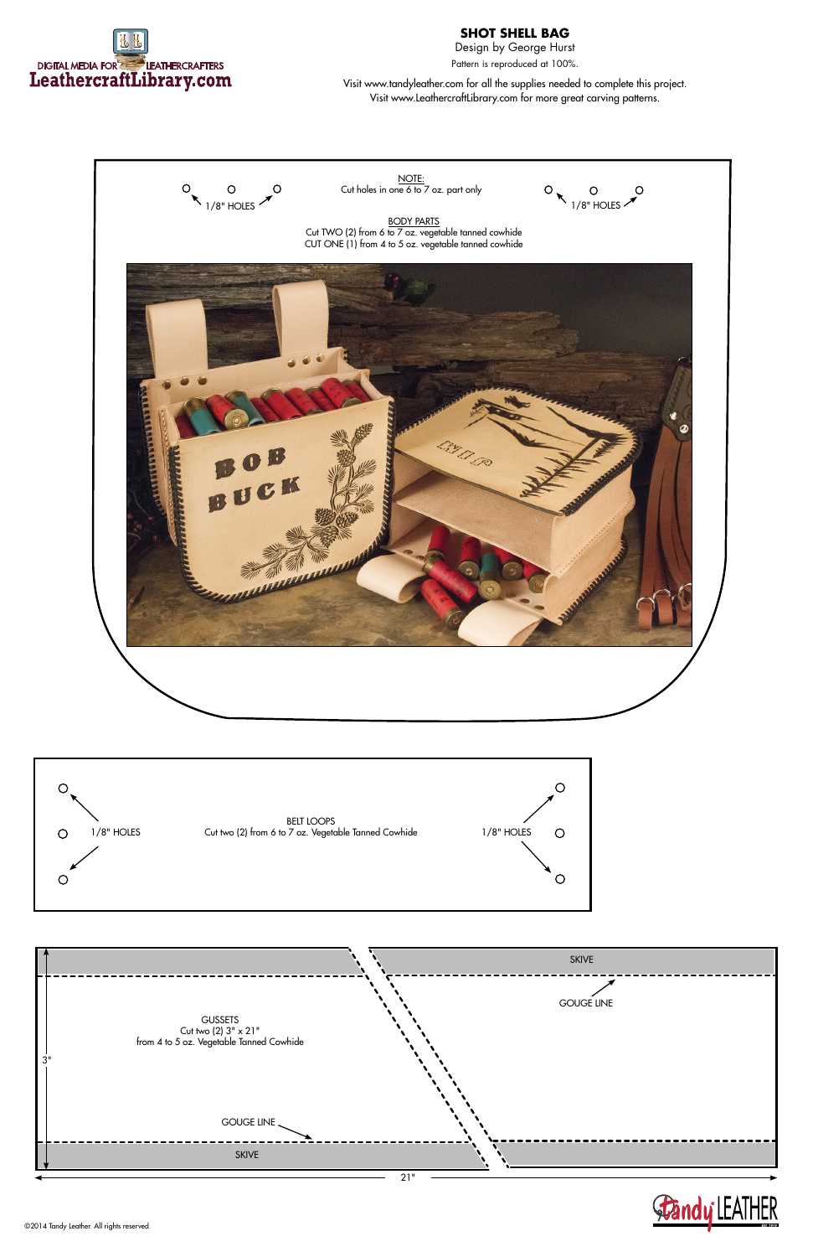

## **SHOT SHELL BAG**

Design by George Hurst Pattern is reproduced at 100%.

Visit www.tandyleather.com for all the supplies needed to complete this project. Visit www.LeathercraftLibrary.com for more great carving patterns.

©2014 Tandy Leather. All rights reserved.





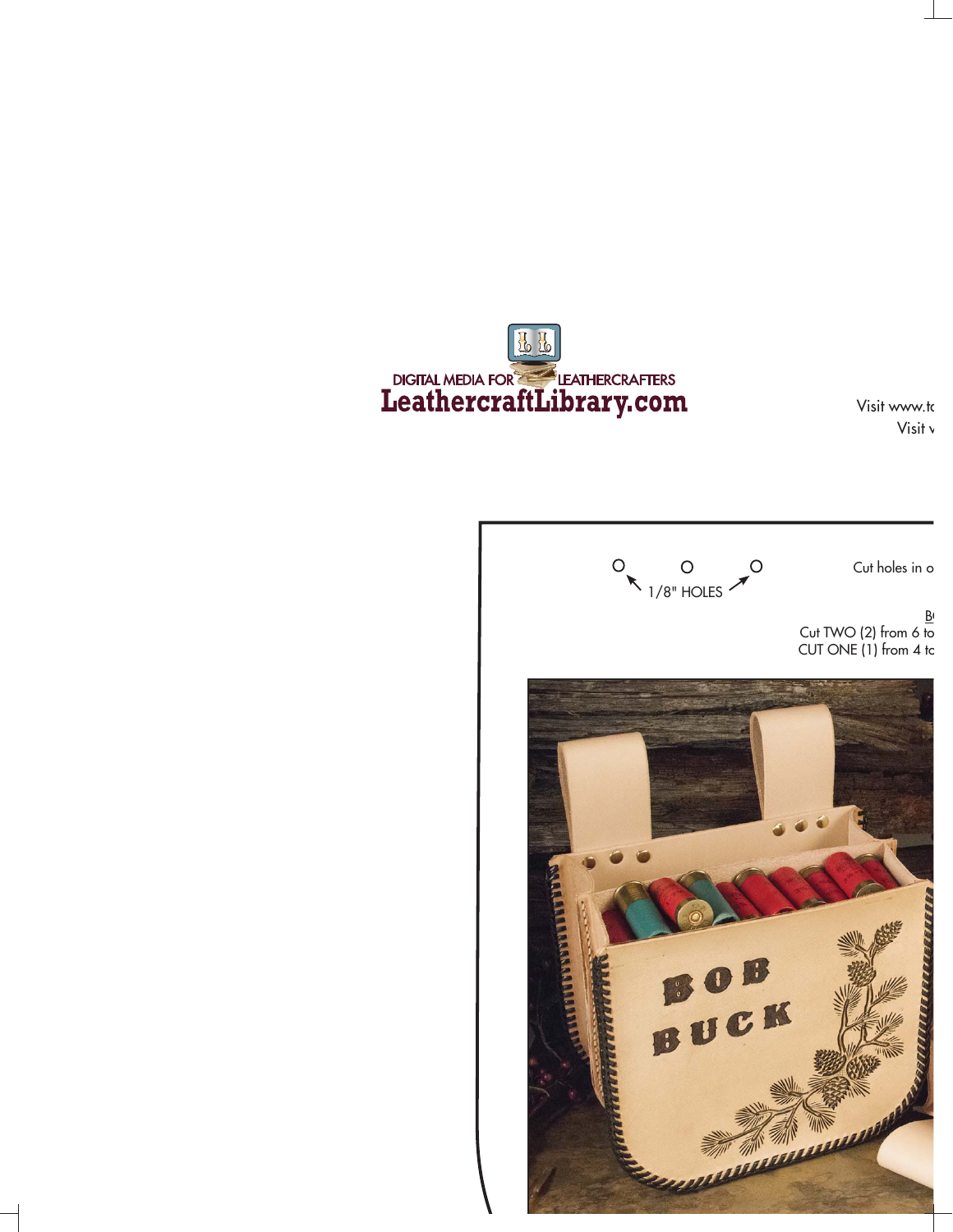EL DIGITAL MEDIA FOR LEATHERCRAFTERS

Visit www.to Visit v

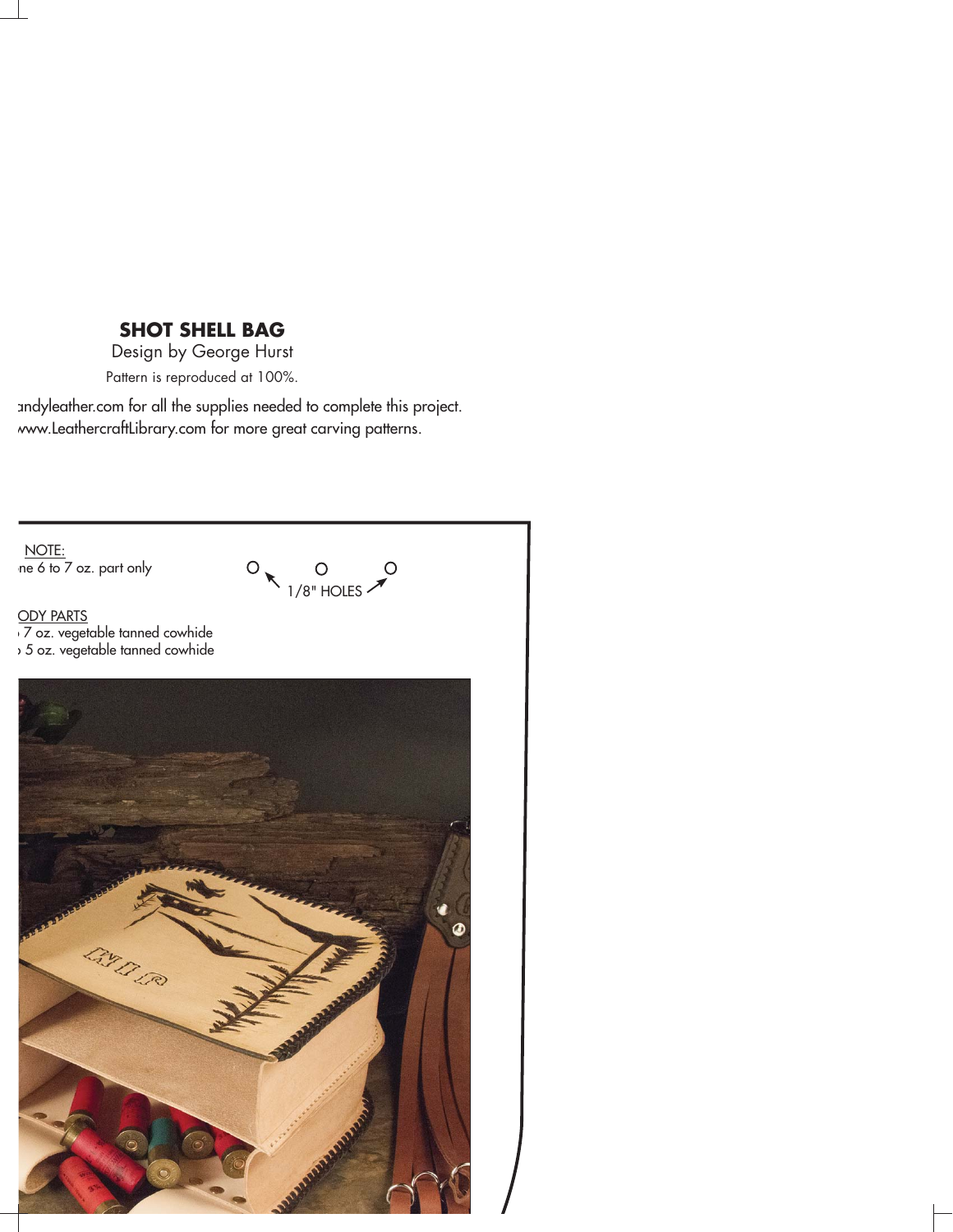## **SHOT SHELL BAG**

Design by George Hurst Pattern is reproduced at 100%.

andyleather.com for all the supplies needed to complete this project. www.LeathercraftLibrary.com for more great carving patterns.

NOTE:  $ne 6$  to  $7$  oz. part only



<u>ODY PARTS</u> o 7 oz. vegetable tanned cowhide o 5 oz. vegetable tanned cowhide

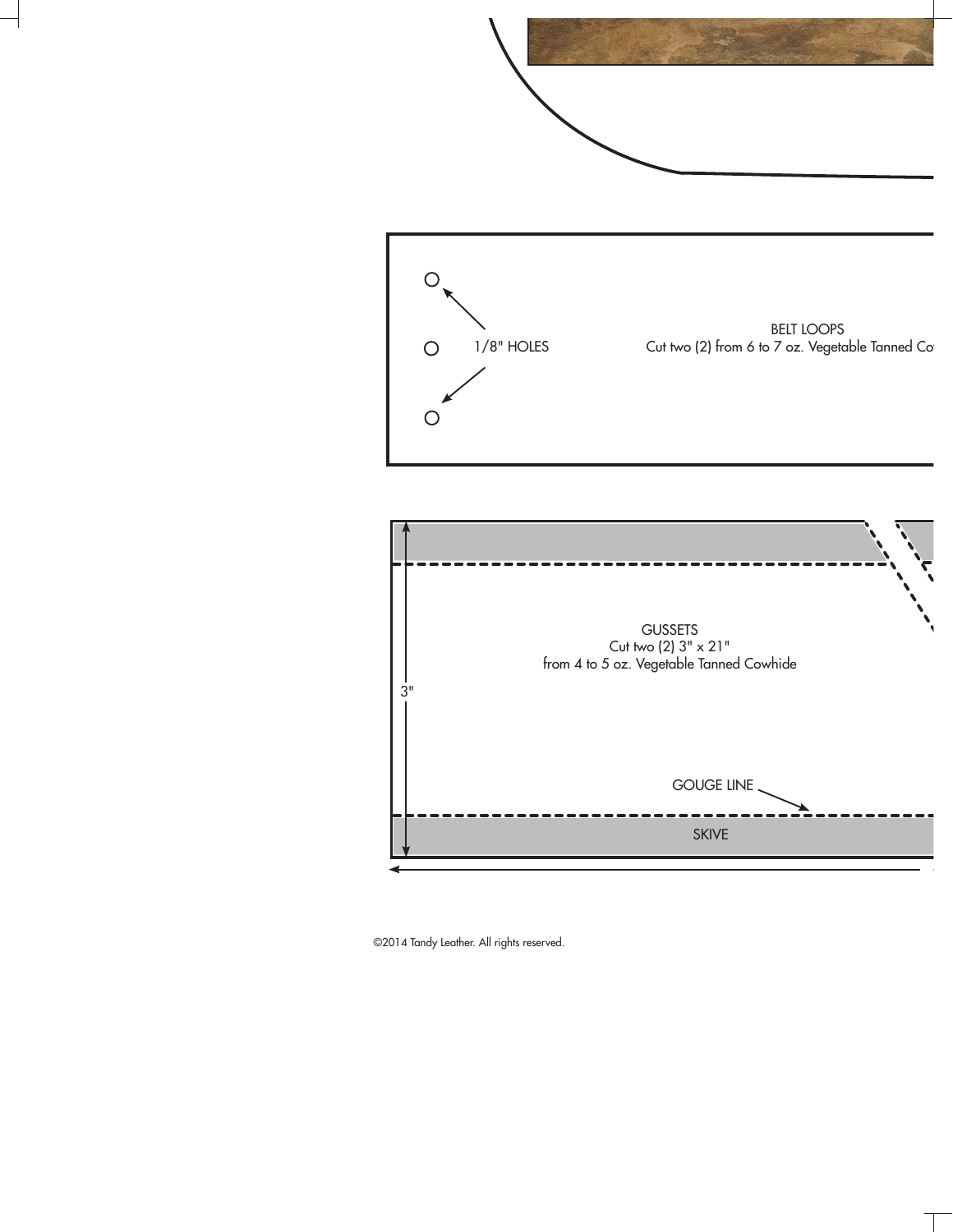



©2014 Tandy Leather. All rights reserved.